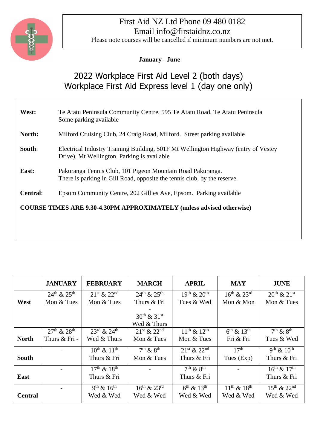

### First Aid NZ Ltd Phone 09 480 0182 Email info@firstaidnz.co.nz

Please note courses will be cancelled if minimum numbers are not met.

### **January - June**

# 2022 Workplace First Aid Level 2 (both days) Workplace First Aid Express level 1 (day one only)

| West:                                                                        | Te Atatu Peninsula Community Centre, 595 Te Atatu Road, Te Atatu Peninsula<br>Some parking available                                   |  |  |  |  |  |
|------------------------------------------------------------------------------|----------------------------------------------------------------------------------------------------------------------------------------|--|--|--|--|--|
| North:                                                                       | Milford Cruising Club, 24 Craig Road, Milford. Street parking available                                                                |  |  |  |  |  |
| South:                                                                       | Electrical Industry Training Building, 501F Mt Wellington Highway (entry of Vestey<br>Drive), Mt Wellington. Parking is available      |  |  |  |  |  |
| East:                                                                        | Pakuranga Tennis Club, 101 Pigeon Mountain Road Pakuranga.<br>There is parking in Gill Road, opposite the tennis club, by the reserve. |  |  |  |  |  |
| <b>Central:</b>                                                              | Epsom Community Centre, 202 Gillies Ave, Epsom. Parking available                                                                      |  |  |  |  |  |
| <b>COURSE TIMES ARE 9.30-4.30PM APPROXIMATELY (unless advised otherwise)</b> |                                                                                                                                        |  |  |  |  |  |
|                                                                              |                                                                                                                                        |  |  |  |  |  |

|                | <b>JANUARY</b>        | <b>FEBRUARY</b>                     | <b>MARCH</b>                          | <b>APRIL</b>                                     | <b>MAY</b>                  | <b>JUNE</b>                    |
|----------------|-----------------------|-------------------------------------|---------------------------------------|--------------------------------------------------|-----------------------------|--------------------------------|
|                | $24^{th}$ & $25^{th}$ | $21^{st}$ & $22^{nd}$               | $24^{th} & 25^{th}$                   | $\overline{19}$ <sup>th</sup> & 20 <sup>th</sup> | $16^{th}$ & $23^{rd}$       | $20^{th}$ & $21^{st}$          |
| West           | Mon & Tues            | Mon & Tues                          | Thurs & Fri                           | Tues & Wed                                       | Mon & Mon                   | Mon & Tues                     |
|                |                       |                                     |                                       |                                                  |                             |                                |
|                |                       |                                     | $30^{th}$ & $31^{st}$                 |                                                  |                             |                                |
|                |                       |                                     | Wed & Thurs                           |                                                  |                             |                                |
|                | $27^{th}$ & $28^{th}$ | $23^{\text{rd}}$ & $24^{\text{th}}$ | $21^{st} & 22^{nd}$                   | $11^{th}$ & $12^{th}$                            | $6^{th}$ & 13 <sup>th</sup> | $\overline{7^{th} \& 8^{th}}$  |
| <b>North</b>   | Thurs & Fri -         | Wed & Thurs                         | Mon & Tues                            | Mon & Tues                                       | Fri & Fri                   | Tues & Wed                     |
|                |                       | $10^{th}$ & $11^{th}$               | $\overline{7^{th} 8}$ 8 <sup>th</sup> | $21^{st} & 22^{nd}$                              | 17 <sup>th</sup>            | $\overline{9^{th} \& 10^{th}}$ |
| <b>South</b>   |                       | Thurs & Fri                         | Mon $&$ Tues                          | Thurs & Fri                                      | Tues (Exp)                  | Thurs & Fri                    |
|                |                       | $17^{th}$ & $18^{th}$               |                                       | $\overline{7^{th} \& 8^{th}}$                    |                             | $16^{th}$ & $17^{th}$          |
| East           |                       | Thurs & Fri                         |                                       | Thurs & Fri                                      |                             | Thurs & Fri                    |
|                |                       | $9^{th}$ & $16^{th}$                | $16^{th}$ & $23^{rd}$                 | $6^{th}$ & 13 <sup>th</sup>                      | $11^{th}$ & $18^{th}$       | $15^{th}$ & $22^{nd}$          |
| <b>Central</b> |                       | Wed & Wed                           | Wed & Wed                             | Wed & Wed                                        | Wed & Wed                   | Wed & Wed                      |